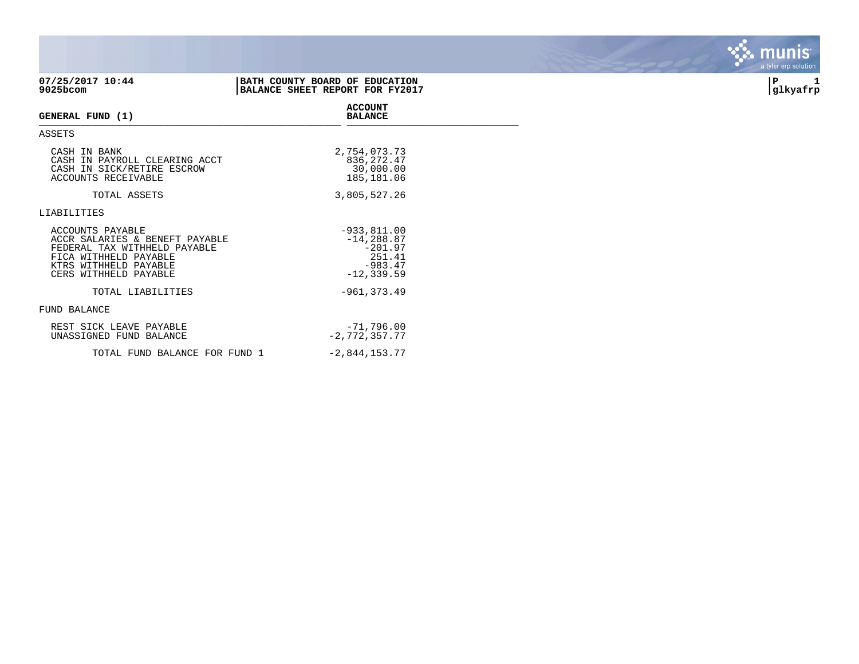| 07/25/2017 10:44<br>9025bcom                                                                                                                                  | BATH COUNTY BOARD OF EDUCATION<br>BALANCE SHEET REPORT FOR FY2017 |                                                                                     | P<br>1<br> glkyafrp |
|---------------------------------------------------------------------------------------------------------------------------------------------------------------|-------------------------------------------------------------------|-------------------------------------------------------------------------------------|---------------------|
| GENERAL FUND (1)                                                                                                                                              |                                                                   | <b>ACCOUNT</b><br><b>BALANCE</b>                                                    |                     |
| ASSETS                                                                                                                                                        |                                                                   |                                                                                     |                     |
| CASH IN BANK<br>CASH IN PAYROLL CLEARING ACCT<br>CASH IN SICK/RETIRE ESCROW<br>ACCOUNTS RECEIVABLE                                                            |                                                                   | 2,754,073.73<br>836, 272.47<br>30,000.00<br>185,181.06                              |                     |
| TOTAL ASSETS                                                                                                                                                  |                                                                   | 3,805,527.26                                                                        |                     |
| LIABILITIES                                                                                                                                                   |                                                                   |                                                                                     |                     |
| ACCOUNTS PAYABLE<br>ACCR SALARIES & BENEFT PAYABLE<br>FEDERAL TAX WITHHELD PAYABLE<br>FICA WITHHELD PAYABLE<br>KTRS WITHHELD PAYABLE<br>CERS WITHHELD PAYABLE |                                                                   | $-933,811.00$<br>$-14, 288.87$<br>$-201.97$<br>251.41<br>$-983.47$<br>$-12, 339.59$ |                     |
| TOTAL LIABILITIES                                                                                                                                             |                                                                   | $-961, 373.49$                                                                      |                     |
| FUND BALANCE                                                                                                                                                  |                                                                   |                                                                                     |                     |
| REST SICK LEAVE PAYABLE<br>UNASSIGNED FUND BALANCE                                                                                                            |                                                                   | $-71,796.00$<br>$-2, 772, 357, 77$                                                  |                     |
| TOTAL FUND BALANCE FOR FUND 1                                                                                                                                 |                                                                   | $-2,844,153.77$                                                                     |                     |

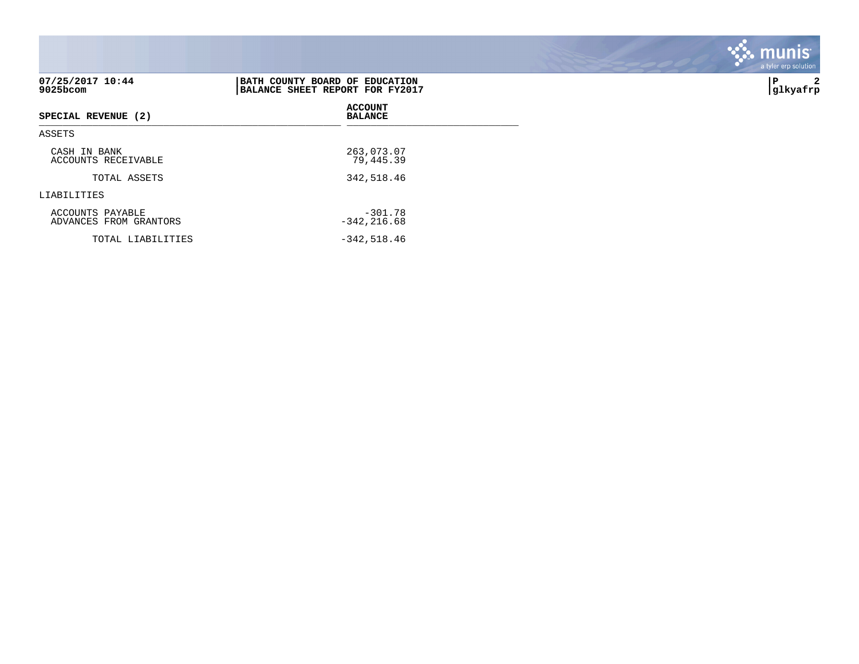| 07/25/2017 10:44<br>9025bcom               | BATH COUNTY BOARD OF EDUCATION<br>BALANCE SHEET REPORT FOR FY2017 | 2<br>P<br> glkyafrp |
|--------------------------------------------|-------------------------------------------------------------------|---------------------|
| SPECIAL REVENUE (2)                        | <b>ACCOUNT</b><br><b>BALANCE</b>                                  |                     |
| ASSETS                                     |                                                                   |                     |
| CASH IN BANK<br>ACCOUNTS RECEIVABLE        | 263,073.07<br>79,445.39                                           |                     |
| TOTAL ASSETS                               | 342,518.46                                                        |                     |
| LIABILITIES                                |                                                                   |                     |
| ACCOUNTS PAYABLE<br>ADVANCES FROM GRANTORS | $-301.78$<br>$-342, 216.68$                                       |                     |
| TOTAL LIABILITIES                          | $-342,518.46$                                                     |                     |

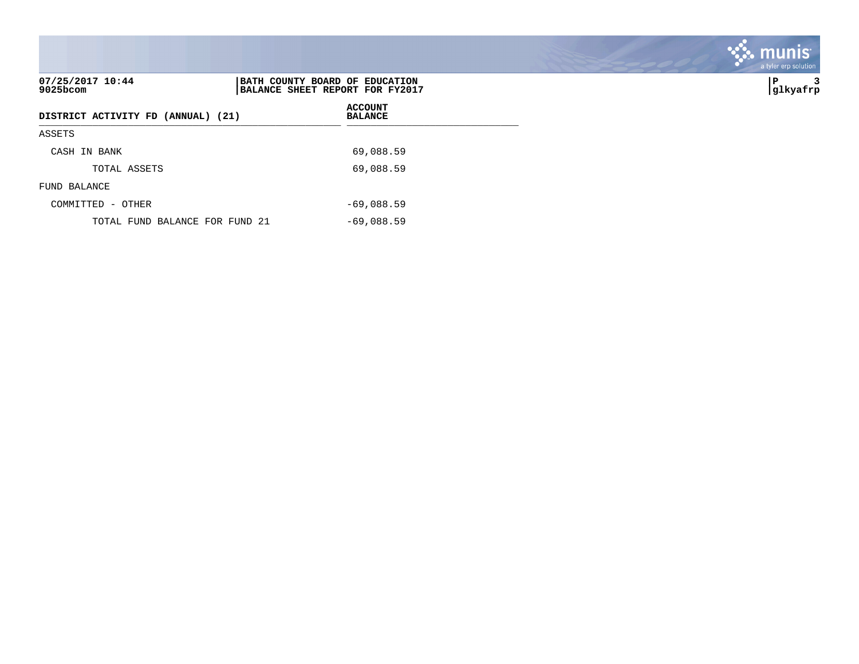| 07/25/2017 10:44<br>$9025$ bcom    | BATH COUNTY BOARD OF EDUCATION<br>BALANCE SHEET REPORT FOR FY2017 |              | ∣P<br> glkyafrp |
|------------------------------------|-------------------------------------------------------------------|--------------|-----------------|
| DISTRICT ACTIVITY FD (ANNUAL) (21) | <b>ACCOUNT</b><br><b>BALANCE</b>                                  |              |                 |
| ASSETS                             |                                                                   |              |                 |
| CASH IN BANK                       |                                                                   | 69,088.59    |                 |
| TOTAL ASSETS                       |                                                                   | 69,088.59    |                 |
| FUND BALANCE                       |                                                                   |              |                 |
| COMMITTED - OTHER                  |                                                                   | $-69,088.59$ |                 |
| TOTAL FUND BALANCE FOR FUND 21     |                                                                   | $-69,088.59$ |                 |

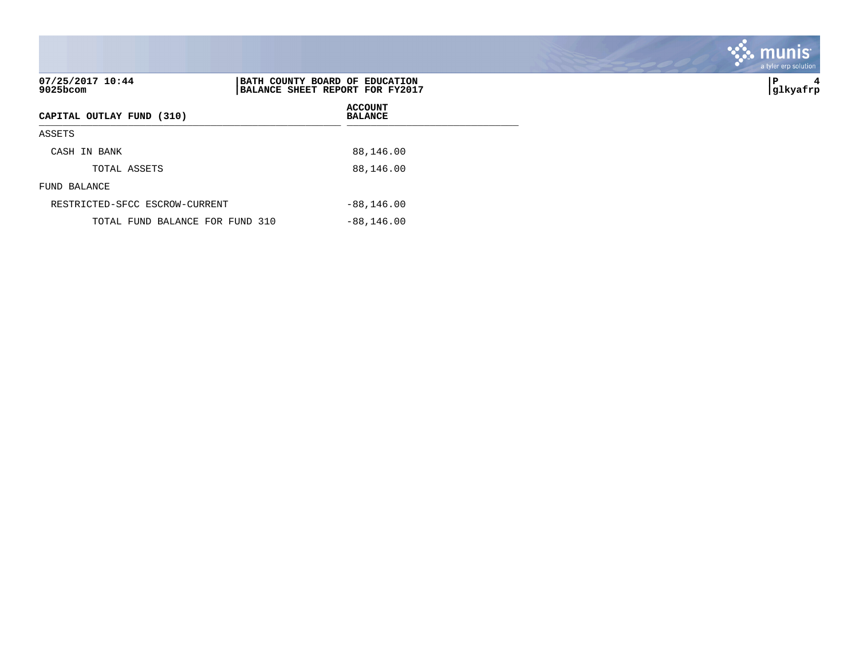| 07/25/2017 10:44<br>9025bcom    | BATH COUNTY BOARD OF EDUCATION<br>BALANCE SHEET REPORT FOR FY2017 | ∣P<br>4<br> glkyafrp |
|---------------------------------|-------------------------------------------------------------------|----------------------|
| CAPITAL OUTLAY FUND (310)       | <b>ACCOUNT</b><br><b>BALANCE</b>                                  |                      |
| ASSETS                          |                                                                   |                      |
| CASH IN BANK                    | 88,146.00                                                         |                      |
| TOTAL ASSETS                    | 88,146.00                                                         |                      |
| FUND BALANCE                    |                                                                   |                      |
| RESTRICTED-SFCC ESCROW-CURRENT  | $-88, 146.00$                                                     |                      |
| TOTAL FUND BALANCE FOR FUND 310 | $-88, 146.00$                                                     |                      |

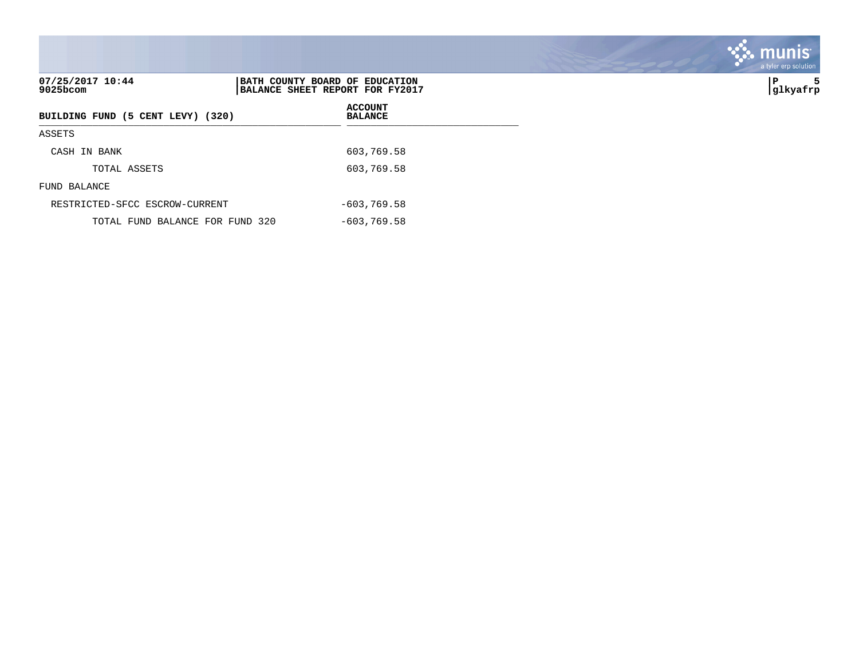| 07/25/2017 10:44<br>9025bcom      | BATH COUNTY BOARD OF EDUCATION<br>BALANCE SHEET REPORT FOR FY2017 |                                  | ∣P<br>5<br> glkyafrp |
|-----------------------------------|-------------------------------------------------------------------|----------------------------------|----------------------|
| BUILDING FUND (5 CENT LEVY) (320) |                                                                   | <b>ACCOUNT</b><br><b>BALANCE</b> |                      |
| ASSETS                            |                                                                   |                                  |                      |
| CASH IN BANK                      |                                                                   | 603,769.58                       |                      |
| TOTAL ASSETS                      |                                                                   | 603,769.58                       |                      |
| FUND BALANCE                      |                                                                   |                                  |                      |
| RESTRICTED-SFCC ESCROW-CURRENT    |                                                                   | $-603,769.58$                    |                      |
| TOTAL FUND BALANCE FOR FUND 320   |                                                                   | $-603,769.58$                    |                      |

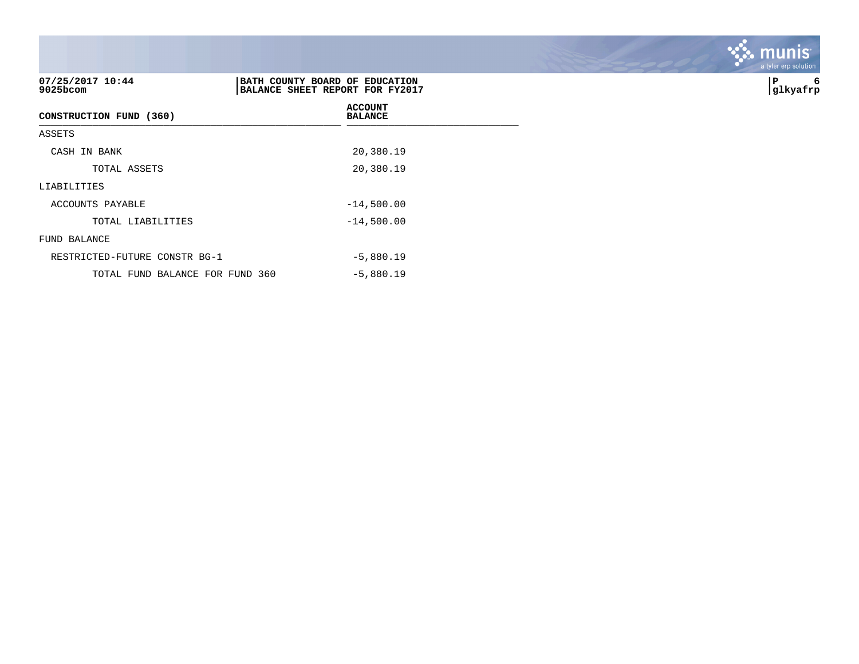| 07/25/2017 10:44<br>$9025$ bcom | BATH COUNTY BOARD OF EDUCATION<br>BALANCE SHEET REPORT FOR FY2017 | P<br>6<br> glkyafrp |
|---------------------------------|-------------------------------------------------------------------|---------------------|
| CONSTRUCTION FUND (360)         | <b>ACCOUNT</b><br><b>BALANCE</b>                                  |                     |
| ASSETS                          |                                                                   |                     |
| CASH IN BANK                    | 20,380.19                                                         |                     |
| TOTAL ASSETS                    | 20,380.19                                                         |                     |
| LIABILITIES                     |                                                                   |                     |
| ACCOUNTS PAYABLE                | $-14,500.00$                                                      |                     |
| TOTAL LIABILITIES               | $-14,500.00$                                                      |                     |
| FUND BALANCE                    |                                                                   |                     |
| RESTRICTED-FUTURE CONSTR BG-1   | $-5,880.19$                                                       |                     |
| TOTAL FUND BALANCE FOR FUND 360 | $-5,880.19$                                                       |                     |

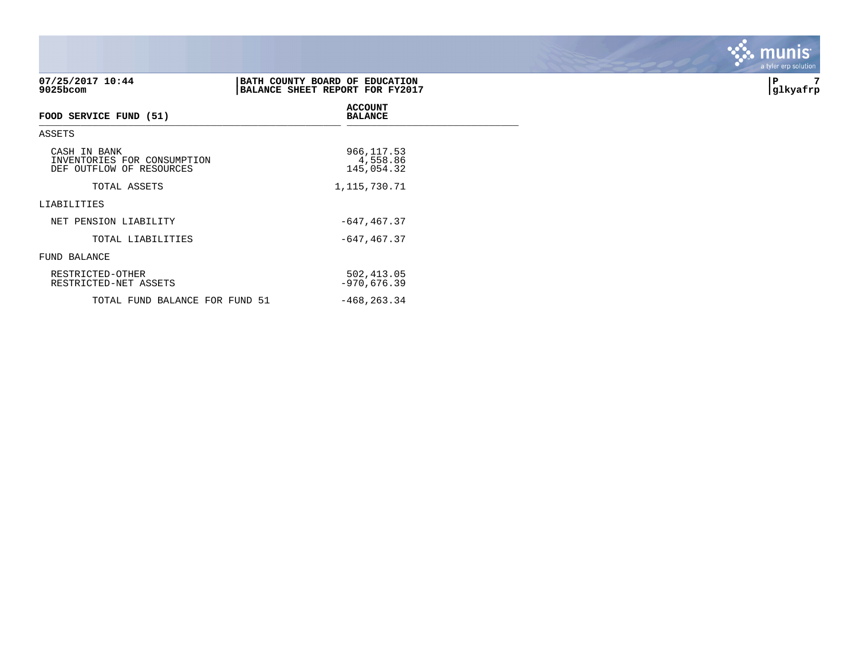| 07/25/2017 10:44<br>9025bcom                                            | BATH COUNTY BOARD OF EDUCATION<br>BALANCE SHEET REPORT FOR FY2017 | 7<br>ΙP<br> glkyafrp |
|-------------------------------------------------------------------------|-------------------------------------------------------------------|----------------------|
| FOOD SERVICE FUND (51)                                                  | <b>ACCOUNT</b><br><b>BALANCE</b>                                  |                      |
| ASSETS                                                                  |                                                                   |                      |
| CASH IN BANK<br>INVENTORIES FOR CONSUMPTION<br>DEF OUTFLOW OF RESOURCES | 966, 117.53<br>4,558.86<br>145,054.32                             |                      |
| TOTAL ASSETS                                                            | 1, 115, 730. 71                                                   |                      |
| LIABILITIES                                                             |                                                                   |                      |
| NET PENSION LIABILITY                                                   | $-647, 467.37$                                                    |                      |
| TOTAL LIABILITIES                                                       | $-647, 467.37$                                                    |                      |
| FUND BALANCE                                                            |                                                                   |                      |
| RESTRICTED-OTHER<br>RESTRICTED-NET ASSETS                               | 502, 413.05<br>$-970,676.39$                                      |                      |
| TOTAL FUND BALANCE FOR FUND 51                                          | $-468, 263.34$                                                    |                      |

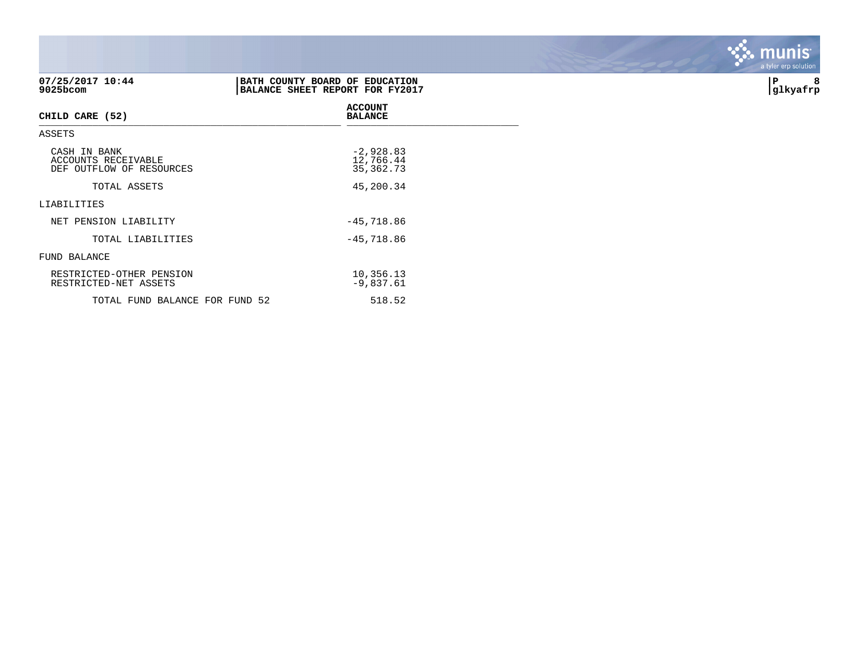| 07/25/2017 10:44<br>9025bcom                                    | BATH COUNTY BOARD OF EDUCATION<br>BALANCE SHEET REPORT FOR FY2017 | 8<br>P<br> glkyafrp |
|-----------------------------------------------------------------|-------------------------------------------------------------------|---------------------|
| CHILD CARE (52)                                                 | <b>ACCOUNT</b><br><b>BALANCE</b>                                  |                     |
| ASSETS                                                          |                                                                   |                     |
| CASH IN BANK<br>ACCOUNTS RECEIVABLE<br>DEF OUTFLOW OF RESOURCES | $-2,928.83$<br>12,766.44<br>35, 362. 73                           |                     |
| TOTAL ASSETS                                                    | 45,200.34                                                         |                     |
| LIABILITIES                                                     |                                                                   |                     |
| NET PENSION LIABILITY                                           | $-45,718.86$                                                      |                     |
| TOTAL LIABILITIES                                               | $-45,718.86$                                                      |                     |
| FUND BALANCE                                                    |                                                                   |                     |
| RESTRICTED-OTHER PENSION<br>RESTRICTED-NET ASSETS               | 10,356.13<br>$-9,837.61$                                          |                     |
| TOTAL FUND BALANCE FOR FUND 52                                  | 518.52                                                            |                     |

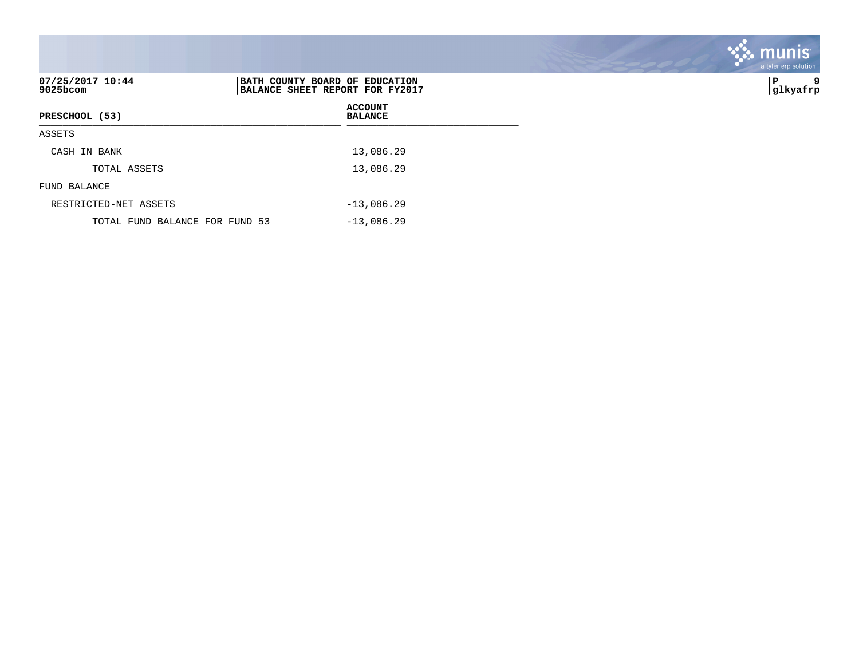|                                |                                                                   | a tyler erp solution |
|--------------------------------|-------------------------------------------------------------------|----------------------|
| 07/25/2017 10:44<br>9025bcom   | BATH COUNTY BOARD OF EDUCATION<br>BALANCE SHEET REPORT FOR FY2017 | P<br>9<br> glkyafrp  |
| PRESCHOOL (53)                 | <b>ACCOUNT</b><br><b>BALANCE</b>                                  |                      |
| ASSETS                         |                                                                   |                      |
| CASH IN BANK                   | 13,086.29                                                         |                      |
| TOTAL ASSETS                   | 13,086.29                                                         |                      |
| FUND BALANCE                   |                                                                   |                      |
| RESTRICTED-NET ASSETS          | $-13,086.29$                                                      |                      |
| TOTAL FUND BALANCE FOR FUND 53 | $-13,086.29$                                                      |                      |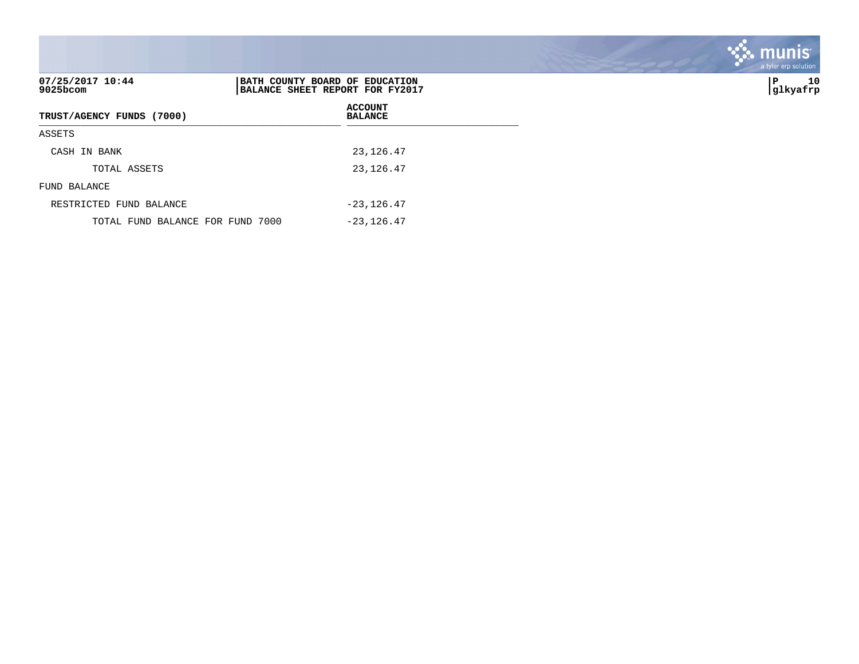| 07/25/2017 10:44<br>$9025$ bcom  | BATH COUNTY BOARD OF EDUCATION<br>BALANCE SHEET REPORT FOR FY2017 | 10<br> P<br> glkyafrp |
|----------------------------------|-------------------------------------------------------------------|-----------------------|
| TRUST/AGENCY FUNDS (7000)        | <b>ACCOUNT</b><br><b>BALANCE</b>                                  |                       |
| ASSETS                           |                                                                   |                       |
| CASH IN BANK                     | 23,126.47                                                         |                       |
| TOTAL ASSETS                     | 23, 126.47                                                        |                       |
| FUND BALANCE                     |                                                                   |                       |
| RESTRICTED FUND BALANCE          | $-23, 126.47$                                                     |                       |
| TOTAL FUND BALANCE FOR FUND 7000 | $-23, 126.47$                                                     |                       |

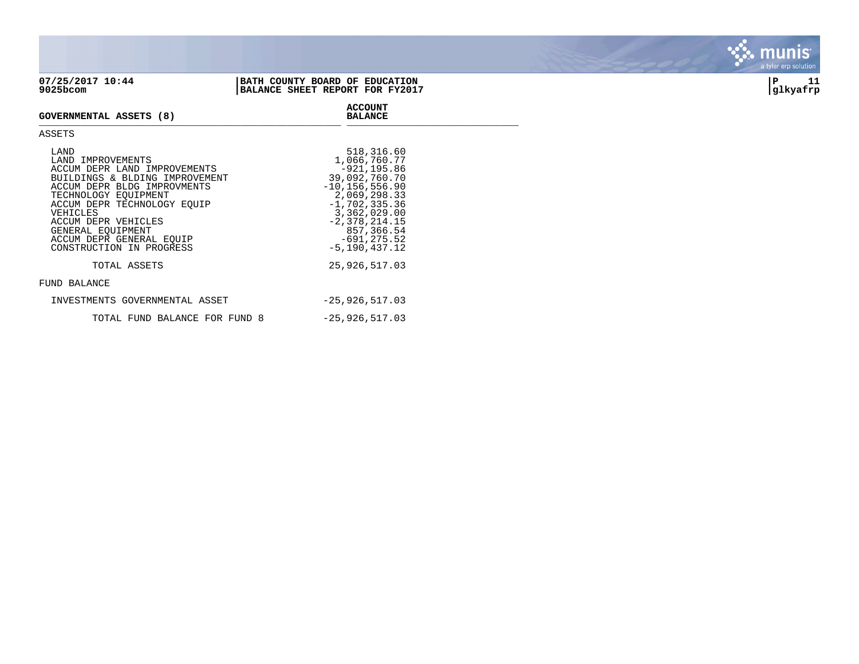| 07/25/2017 10:44               | BATH COUNTY BOARD OF EDUCATION   | 11       |
|--------------------------------|----------------------------------|----------|
| $9025$ bcom                    | BALANCE SHEET REPORT FOR FY2017  | glkyafrp |
| <b>GOVERNMENTAL ASSETS (8)</b> | <b>ACCOUNT</b><br><b>BALANCE</b> |          |

## **GOVERNMENTAL ASSETS (8) BALANCE** \_\_\_\_\_\_\_\_\_\_\_\_\_\_\_\_\_\_\_\_\_\_\_\_\_\_\_\_\_\_\_\_\_\_\_\_\_\_\_\_\_\_\_\_\_\_\_\_\_\_\_ \_\_\_\_\_\_\_\_\_\_\_\_\_\_\_\_\_\_\_\_\_\_\_\_\_\_\_\_\_

## ASSETS

| LAND<br>LAND IMPROVEMENTS<br>ACCUM DEPR LAND IMPROVEMENTS<br>BUILDINGS & BLDING IMPROVEMENT<br>ACCUM DEPR BLDG IMPROVMENTS<br>TECHNOLOGY EOUIPMENT<br>ACCUM DEPR TECHNOLOGY EOUIP<br>VEHICLES<br>ACCUM DEPR VEHICLES<br>GENERAL EOUIPMENT<br>ACCUM DEPR GENERAL EOUIP | 518,316.60<br>1,066,760.77<br>$-921.195.86$<br>39,092,760.70<br>$-10, 156, 556.90$<br>2,069,298.33<br>$-1,702,335.36$<br>3,362,029.00<br>$-2,378,214.15$<br>857,366.54<br>$-691, 275.52$ |
|-----------------------------------------------------------------------------------------------------------------------------------------------------------------------------------------------------------------------------------------------------------------------|------------------------------------------------------------------------------------------------------------------------------------------------------------------------------------------|
| CONSTRUCTION IN PROGRESS                                                                                                                                                                                                                                              | $-5, 190, 437.12$                                                                                                                                                                        |
| TOTAL ASSETS                                                                                                                                                                                                                                                          | 25,926,517.03                                                                                                                                                                            |
| FUND BALANCE                                                                                                                                                                                                                                                          |                                                                                                                                                                                          |
| INVESTMENTS GOVERNMENTAL ASSET                                                                                                                                                                                                                                        | $-25,926,517.03$                                                                                                                                                                         |
| TOTAL FUND BALANCE FOR FUND 8                                                                                                                                                                                                                                         | $-25,926,517.03$                                                                                                                                                                         |

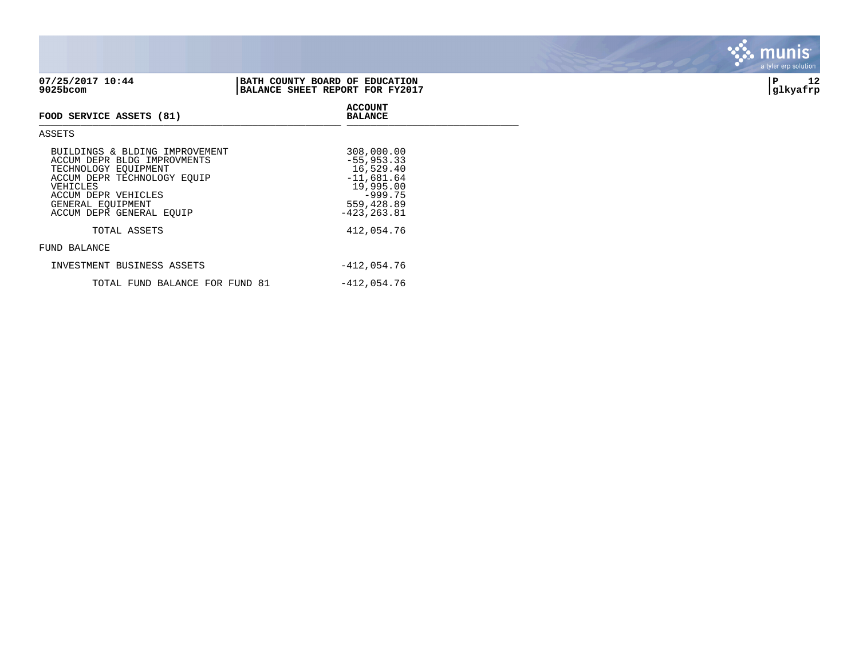| 9025bcom                                                                                                                                                                                                 | BALANCE SHEET REPORT FOR FY2017                                                                                    | glkyafrp |
|----------------------------------------------------------------------------------------------------------------------------------------------------------------------------------------------------------|--------------------------------------------------------------------------------------------------------------------|----------|
| FOOD SERVICE ASSETS (81)                                                                                                                                                                                 | <b>ACCOUNT</b><br><b>BALANCE</b>                                                                                   |          |
| ASSETS                                                                                                                                                                                                   |                                                                                                                    |          |
| BUILDINGS & BLDING IMPROVEMENT<br>ACCUM DEPR BLDG IMPROVMENTS<br>TECHNOLOGY EQUIPMENT<br>ACCUM DEPR TECHNOLOGY EOUIP<br>VEHICLES<br>ACCUM DEPR VEHICLES<br>GENERAL EQUIPMENT<br>ACCUM DEPR GENERAL EOUIP | 308,000.00<br>$-55, 953.33$<br>16,529.40<br>$-11,681.64$<br>19,995.00<br>$-999.75$<br>559,428.89<br>$-423, 263.81$ |          |
| TOTAL ASSETS                                                                                                                                                                                             | 412,054.76                                                                                                         |          |

## FUND BALANCE

| INVESTMENT BUSINESS ASSETS     | -412,054.76 |
|--------------------------------|-------------|
| TOTAL FUND BALANCE FOR FUND 81 | -412,054.76 |



## **07/25/2017 10:44 |BATH COUNTY BOARD OF EDUCATION |P 12**

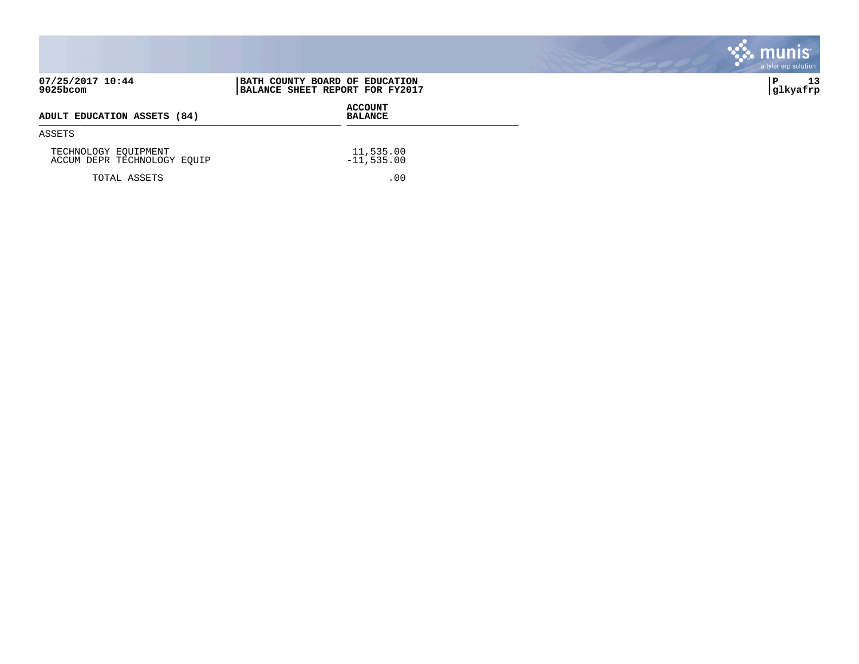|                                                     |                                                                   | <b>munis</b><br>a tyler erp solution |
|-----------------------------------------------------|-------------------------------------------------------------------|--------------------------------------|
| 07/25/2017 10:44<br>9025bcom                        | BATH COUNTY BOARD OF EDUCATION<br>BALANCE SHEET REPORT FOR FY2017 | 13<br>∣P<br> glkyafrp                |
| ADULT EDUCATION ASSETS (84)                         | <b>ACCOUNT</b><br><b>BALANCE</b>                                  |                                      |
| ASSETS                                              |                                                                   |                                      |
| TECHNOLOGY EQUIPMENT<br>ACCUM DEPR TECHNOLOGY EQUIP | 11,535.00<br>$-11,535.00$                                         |                                      |
| TOTAL ASSETS                                        | .00                                                               |                                      |